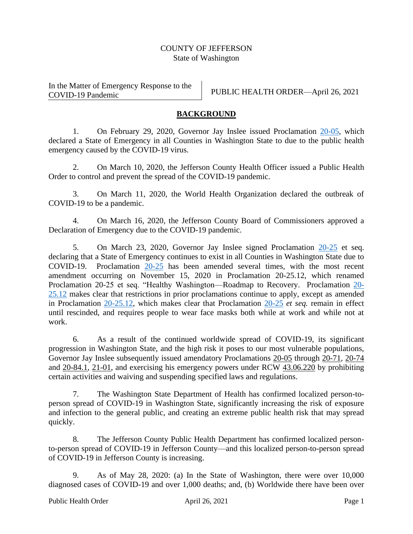## COUNTY OF JEFFERSON State of Washington

In the Matter of Emergency Response to the COVID-19 Pandemic PUBLIC HEALTH ORDER—April 26, 2021

## **BACKGROUND**

1. On February 29, 2020, Governor Jay Inslee issued Proclamation [20-05,](https://www.governor.wa.gov/sites/default/files/proclamations/20-05%20Coronavirus%20%28final%29.pdf) which declared a State of Emergency in all Counties in Washington State to due to the public health emergency caused by the COVID-19 virus.

2. On March 10, 2020, the Jefferson County Health Officer issued a Public Health Order to control and prevent the spread of the COVID-19 pandemic.

3. On March 11, 2020, the World Health Organization declared the outbreak of COVID-19 to be a pandemic.

4. On March 16, 2020, the Jefferson County Board of Commissioners approved a Declaration of Emergency due to the COVID-19 pandemic.

5. On March 23, 2020, Governor Jay Inslee signed Proclamation [20-25](https://www.governor.wa.gov/sites/default/files/proclamations/20-25%20Coronovirus%20Stay%20Safe-Stay%20Healthy%20%28tmp%29%20%28002%29.pdf) et seq. declaring that a State of Emergency continues to exist in all Counties in Washington State due to COVID-19. Proclamation [20-25](https://www.governor.wa.gov/sites/default/files/proclamations/20-25%20Coronovirus%20Stay%20Safe-Stay%20Healthy%20%28tmp%29%20%28002%29.pdf) has been amended several times, with the most recent amendment occurring on November 15, 2020 in Proclamation 20-25.12, which renamed Proclamation 20-25 et seq. "Healthy Washington—Roadmap to Recovery. Proclamation [20-](https://www.governor.wa.gov/sites/default/files/proclamations/proc_20-25.12.pdf) [25.12](https://www.governor.wa.gov/sites/default/files/proclamations/proc_20-25.12.pdf) makes clear that restrictions in prior proclamations continue to apply, except as amended in Proclamation [20-25.12,](https://www.governor.wa.gov/sites/default/files/proclamations/proc_20-25.12.pdf) which makes clear that Proclamation [20-25](https://www.governor.wa.gov/sites/default/files/proclamations/20-25%20Coronovirus%20Stay%20Safe-Stay%20Healthy%20%28tmp%29%20%28002%29.pdf) *et seq.* remain in effect until rescinded, and requires people to wear face masks both while at work and while not at work.

6. As a result of the continued worldwide spread of COVID-19, its significant progression in Washington State, and the high risk it poses to our most vulnerable populations, Governor Jay Inslee subsequently issued amendatory Proclamations [20-05](https://www.governor.wa.gov/sites/default/files/proclamations/20-06%20Coronavirus%20%28tmp%29.pdf) through [20-71,](https://www.governor.wa.gov/sites/default/files/proclamations/20-53%20COVID-19%20Maintain%20Access%20to%20the%20Ballot%20%28tmp%29.pdf) [20-74](https://www.governor.wa.gov/sites/default/files/proclamations/20-55%20COVID-19%20Collective%20Bargaining%20%28tmp%29.pdf) and [20-84.1,](https://www.governor.wa.gov/sites/default/files/proclamations/proc_20-67.pdf) [21-01,](https://www.governor.wa.gov/sites/default/files/proclamations/20-69%20-%20COVID-19%20ResidencyTuitionWaivers%20%28tmp%29.pdf) and exercising his emergency powers under RCW [43.06.220](https://apps.leg.wa.gov/rcw/default.aspx?cite=43.06.220) by prohibiting certain activities and waiving and suspending specified laws and regulations.

7. The Washington State Department of Health has confirmed localized person-toperson spread of COVID-19 in Washington State, significantly increasing the risk of exposure and infection to the general public, and creating an extreme public health risk that may spread quickly.

8. The Jefferson County Public Health Department has confirmed localized personto-person spread of COVID-19 in Jefferson County—and this localized person-to-person spread of COVID-19 in Jefferson County is increasing.

9. As of May 28, 2020: (a) In the State of Washington, there were over 10,000 diagnosed cases of COVID-19 and over 1,000 deaths; and, (b) Worldwide there have been over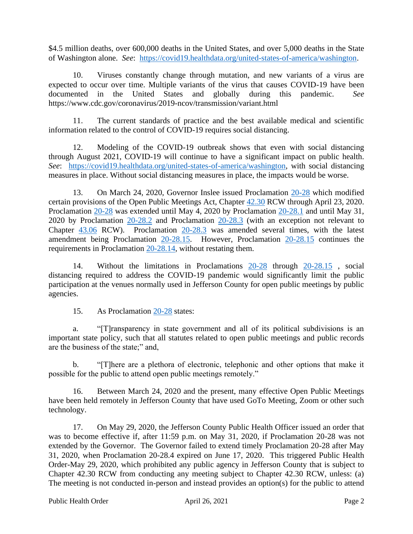\$4.5 million deaths, over 600,000 deaths in the United States, and over 5,000 deaths in the State of Washington alone. *See*: [https://covid19.healthdata.org/united-states-of-america/washington.](https://covid19.healthdata.org/united-states-of-america/washington)

10. Viruses constantly change through mutation, and new variants of a virus are expected to occur over time. Multiple variants of the virus that causes COVID-19 have been documented in the United States and globally during this pandemic. *See* https://www.cdc.gov/coronavirus/2019-ncov/transmission/variant.html

11. The current standards of practice and the best available medical and scientific information related to the control of COVID-19 requires social distancing.

12. Modeling of the COVID-19 outbreak shows that even with social distancing through August 2021, COVID-19 will continue to have a significant impact on public health. *See*: [https://covid19.healthdata.org/united-states-of-america/washington,](https://covid19.healthdata.org/united-states-of-america/washington) with social distancing measures in place. Without social distancing measures in place, the impacts would be worse.

13. On March 24, 2020, Governor Inslee issued Proclamation [20-28](https://www.governor.wa.gov/sites/default/files/proclamations/20-28%20-%20COVID-19%20Open%20Govt%20Laws%20Waivers%20%28tmp%291.pdf) which modified certain provisions of the Open Public Meetings Act, Chapter [42.30](https://app.leg.wa.gov/rcw/default.aspx?cite=42.30) RCW through April 23, 2020. Proclamation [20-28](https://www.governor.wa.gov/sites/default/files/proclamations/20-28%20-%20COVID-19%20Open%20Govt%20Laws%20Waivers%20%28tmp%291.pdf) was extended until May 4, 2020 by Proclamation [20-28.1](https://www.governor.wa.gov/sites/default/files/proclamations/20-28.1%20-%20COVID-19%20Open%20Govt%20Waiver%20Extension%20%28tmp%29.pdf) and until May 31, 2020 by Proclamation [20-28.2](https://www.governor.wa.gov/sites/default/files/proclamations/20-28.2%20-%20COVID-19%20Open%20Govt%20Waivers%20Ext%20%28tmp%29.pdf) and Proclamation [20-28.3](https://www.governor.wa.gov/sites/default/files/proclamations/20-28.3%20-%20COVID-19%20Open%20Govt%20Waivers%20Ext%20%28tmp%29.pdf) (with an exception not relevant to Chapter  $43.06$  RCW). Proclamation  $20-28.3$  was amended several times, with the latest amendment being Proclamation [20-28.15.](https://www.governor.wa.gov/sites/default/files/proclamations/proc_20-28.15.pdf) However, Proclamation [20-28.15](https://www.governor.wa.gov/sites/default/files/proclamations/proc_20-28.15.pdf) continues the requirements in Proclamation [20-28.14,](https://www.governor.wa.gov/sites/default/files/proclamations/proc_20-28.14.pdf) without restating them.

14. Without the limitations in Proclamations [20-28](https://www.governor.wa.gov/sites/default/files/proclamations/20-28%20-%20COVID-19%20Open%20Govt%20Laws%20Waivers%20%28tmp%291.pdf) through [20-28.15](https://www.governor.wa.gov/sites/default/files/proclamations/proc_20-28.15.pdf) , social distancing required to address the COVID-19 pandemic would significantly limit the public participation at the venues normally used in Jefferson County for open public meetings by public agencies.

15. As Proclamation [20-28](https://www.governor.wa.gov/sites/default/files/proclamations/20-28%20-%20COVID-19%20Open%20Govt%20Laws%20Waivers%20%28tmp%291.pdf) states:

a. "[T]ransparency in state government and all of its political subdivisions is an important state policy, such that all statutes related to open public meetings and public records are the business of the state;" and,

b. "[T]here are a plethora of electronic, telephonic and other options that make it possible for the public to attend open public meetings remotely."

16. Between March 24, 2020 and the present, many effective Open Public Meetings have been held remotely in Jefferson County that have used GoTo Meeting, Zoom or other such technology.

17. On May 29, 2020, the Jefferson County Public Health Officer issued an order that was to become effective if, after 11:59 p.m. on May 31, 2020, if Proclamation 20-28 was not extended by the Governor. The Governor failed to extend timely Proclamation 20-28 after May 31, 2020, when Proclamation 20-28.4 expired on June 17, 2020. This triggered Public Health Order-May 29, 2020, which prohibited any public agency in Jefferson County that is subject to Chapter 42.30 RCW from conducting any meeting subject to Chapter 42.30 RCW, unless: (a) The meeting is not conducted in-person and instead provides an option(s) for the public to attend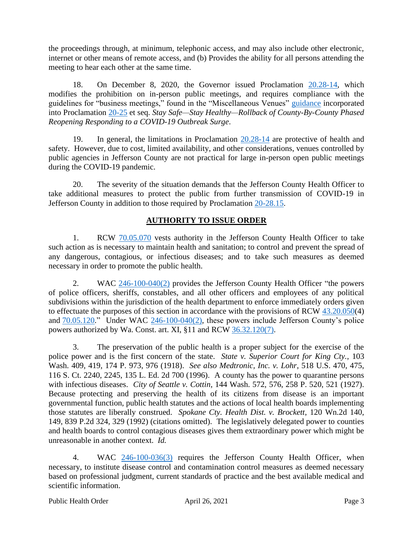the proceedings through, at minimum, telephonic access, and may also include other electronic, internet or other means of remote access, and (b) Provides the ability for all persons attending the meeting to hear each other at the same time.

18. On December 8, 2020, the Governor issued Proclamation [20.28-14,](https://www.governor.wa.gov/sites/default/files/proclamations/proc_20-28.14.pdf) which modifies the prohibition on in-person public meetings, and requires compliance with the guidelines for "business meetings," found in the "Miscellaneous Venues" [guidance](https://www.governor.wa.gov/sites/default/files/COVID19%20Phase%202%20and%20Phase%203%20Misc%20Venue%20Guidance.pdf) incorporated into Proclamation [20-25](https://www.governor.wa.gov/sites/default/files/proclamations/20-25%20Coronovirus%20Stay%20Safe-Stay%20Healthy%20%28tmp%29%20%28002%29.pdf) et seq. *Stay Safe—Stay Healthy—Rollback of County-By-County Phased Reopening Responding to a COVID-19 Outbreak Surge*.

19. In general, the limitations in Proclamation [20.28-14](https://www.governor.wa.gov/sites/default/files/proclamations/proc_20-28.14.pdf) are protective of health and safety. However, due to cost, limited availability, and other considerations, venues controlled by public agencies in Jefferson County are not practical for large in-person open public meetings during the COVID-19 pandemic.

20. The severity of the situation demands that the Jefferson County Health Officer to take additional measures to protect the public from further transmission of COVID-19 in Jefferson County in addition to those required by Proclamation [20-28.15.](https://www.governor.wa.gov/sites/default/files/proclamations/proc_20-28.15.pdf)

## **AUTHORITY TO ISSUE ORDER**

1. RCW [70.05.070](http://app.leg.wa.gov/RCW/default.aspx?cite=70.05.070) vests authority in the Jefferson County Health Officer to take such action as is necessary to maintain health and sanitation; to control and prevent the spread of any dangerous, contagious, or infectious diseases; and to take such measures as deemed necessary in order to promote the public health.

2. WAC [246-100-040\(2\)](https://app.leg.wa.gov/wac/default.aspx?cite=246-100&full=true#246-100-040) provides the Jefferson County Health Officer "the powers of police officers, sheriffs, constables, and all other officers and employees of any political subdivisions within the jurisdiction of the health department to enforce immediately orders given to effectuate the purposes of this section in accordance with the provisions of RCW [43.20.050\(](http://app.leg.wa.gov/RCW/default.aspx?cite=43.20.050)4) and  $70.05.120$ ." Under WAC  $246-100-040(2)$ , these powers include Jefferson County's police powers authorized by Wa. Const. art. XI, §11 and RCW [36.32.120\(7\).](http://app.leg.wa.gov/rcw/default.aspx?cite=36.32.120)

3. The preservation of the public health is a proper subject for the exercise of the police power and is the first concern of the state. *State v. Superior Court for King Cty.*, 103 Wash. 409, 419, 174 P. 973, 976 (1918). *See also Medtronic, Inc. v. Lohr*, 518 U.S. 470, 475, 116 S. Ct. 2240, 2245, 135 L. Ed. 2d 700 (1996). A county has the power to quarantine persons with infectious diseases. *City of Seattle v. Cottin*, 144 Wash. 572, 576, 258 P. 520, 521 (1927). Because protecting and preserving the health of its citizens from disease is an important governmental function, public health statutes and the actions of local health boards implementing those statutes are liberally construed. *Spokane Cty. Health Dist. v. Brockett*, 120 Wn.2d 140, 149, 839 P.2d 324, 329 (1992) (citations omitted). The legislatively delegated power to counties and health boards to control contagious diseases gives them extraordinary power which might be unreasonable in another context. *Id.*

4. WAC [246-100-036\(3\)](https://app.leg.wa.gov/wac/default.aspx?cite=246-100&full=true#246-100-036) requires the Jefferson County Health Officer, when necessary, to institute disease control and contamination control measures as deemed necessary based on professional judgment, current standards of practice and the best available medical and scientific information.